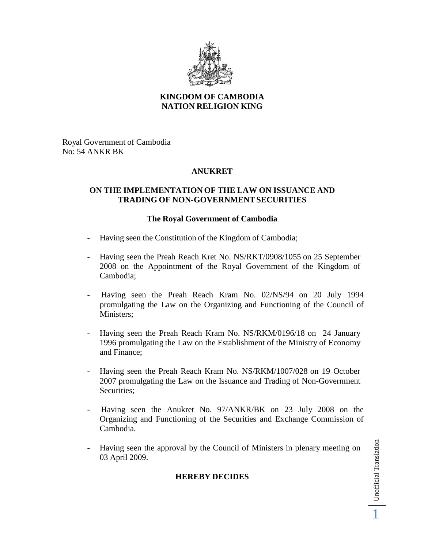

### **KINGDOM OF CAMBODIA NATION RELIGION KING**

Royal Government of Cambodia No: 54 ANKR BK

# **ANUKRET**

#### **ON THE IMPLEMENTATIONOF THE LAW ON ISSUANCE AND TRADING OF NON-GOVERNMENTSECURITIES**

#### **The Royal Government of Cambodia**

- Having seen the Constitution of the Kingdom of Cambodia;
- Having seen the Preah Reach Kret No. NS/RKT/0908/1055 on 25 September 2008 on the Appointment of the Royal Government of the Kingdom of Cambodia;
- Having seen the Preah Reach Kram No. 02/NS/94 on 20 July 1994 promulgating the Law on the Organizing and Functioning of the Council of Ministers;
- Having seen the Preah Reach Kram No. NS/RKM/0196/18 on 24 January 1996 promulgating the Law on the Establishment of the Ministry of Economy and Finance;
- Having seen the Preah Reach Kram No. NS/RKM/1007/028 on 19 October 2007 promulgating the Law on the Issuance and Trading of Non-Government Securities;
- Having seen the Anukret No. 97/ANKR/BK on 23 July 2008 on the Organizing and Functioning of the Securities and Exchange Commission of Cambodia.
- Having seen the approval by the Council of Ministers in plenary meeting on 03 April 2009.

## **HEREBY DECIDES**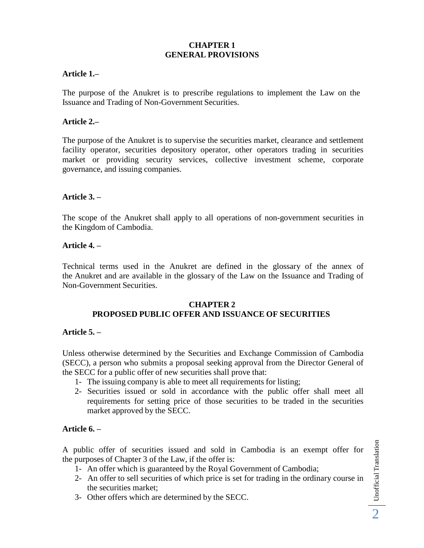### **CHAPTER 1 GENERAL PROVISIONS**

#### **Article 1.–**

The purpose of the Anukret is to prescribe regulations to implement the Law on the Issuance and Trading of Non-Government Securities.

#### **Article 2.–**

The purpose of the Anukret is to supervise the securities market, clearance and settlement facility operator, securities depository operator, other operators trading in securities market or providing security services, collective investment scheme, corporate governance, and issuing companies.

#### **Article 3. –**

The scope of the Anukret shall apply to all operations of non-government securities in the Kingdom of Cambodia.

#### **Article 4. –**

Technical terms used in the Anukret are defined in the glossary of the annex of the Anukret and are available in the glossary of the Law on the Issuance and Trading of Non-Government Securities.

#### **CHAPTER 2**

#### **PROPOSED PUBLIC OFFER AND ISSUANCE OF SECURITIES**

#### **Article 5. –**

Unless otherwise determined by the Securities and Exchange Commission of Cambodia (SECC), a person who submits a proposal seeking approval from the Director General of the SECC for a public offer of new securities shall prove that:

- 1- The issuing company is able to meet all requirements for listing;
- 2- Securities issued or sold in accordance with the public offer shall meet all requirements for setting price of those securities to be traded in the securities market approved by the SECC.

#### **Article 6. –**

A public offer of securities issued and sold in Cambodia is an exempt offer for the purposes of Chapter 3 of the Law, if the offer is:

- 1- An offer which is guaranteed by the Royal Government of Cambodia;
- 2- An offer to sell securities of which price is set for trading in the ordinary course in the securities market;
- 3- Other offers which are determined by the SECC.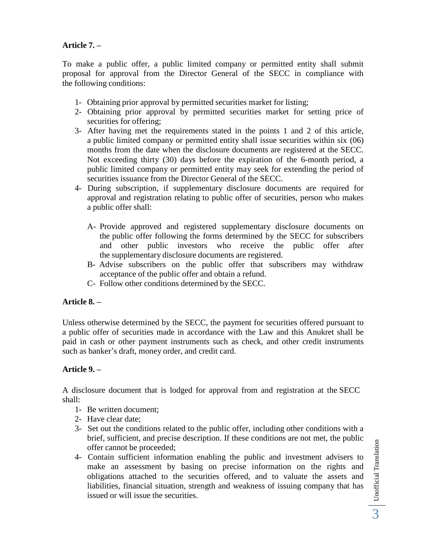# **Article 7. –**

To make a public offer, a public limited company or permitted entity shall submit proposal for approval from the Director General of the SECC in compliance with the following conditions:

- 1- Obtaining prior approval by permitted securities market for listing;
- 2- Obtaining prior approval by permitted securities market for setting price of securities for offering;
- 3- After having met the requirements stated in the points 1 and 2 of this article, a public limited company or permitted entity shall issue securities within six (06) months from the date when the disclosure documents are registered at the SECC. Not exceeding thirty (30) days before the expiration of the 6-month period, a public limited company or permitted entity may seek for extending the period of securities issuance from the Director General of the SECC.
- 4- During subscription, if supplementary disclosure documents are required for approval and registration relating to public offer of securities, person who makes a public offer shall:
	- A- Provide approved and registered supplementary disclosure documents on the public offer following the forms determined by the SECC for subscribers and other public investors who receive the public offer after the supplementary disclosure documents are registered.
	- B- Advise subscribers on the public offer that subscribers may withdraw acceptance of the public offer and obtain a refund.
	- C- Follow other conditions determined by the SECC.

## **Article 8. –**

Unless otherwise determined by the SECC, the payment for securities offered pursuant to a public offer of securities made in accordance with the Law and this Anukret shall be paid in cash or other payment instruments such as check, and other credit instruments such as banker's draft, money order, and credit card.

#### **Article 9. –**

A disclosure document that is lodged for approval from and registration at the SECC shall:

- 1- Be written document;
- 2- Have clear date;
- 3- Set out the conditions related to the public offer, including other conditions with a brief, sufficient, and precise description. If these conditions are not met, the public offer cannot be proceeded;
- 4- Contain sufficient information enabling the public and investment advisers to make an assessment by basing on precise information on the rights and obligations attached to the securities offered, and to valuate the assets and liabilities, financial situation, strength and weakness of issuing company that has issued or will issue the securities.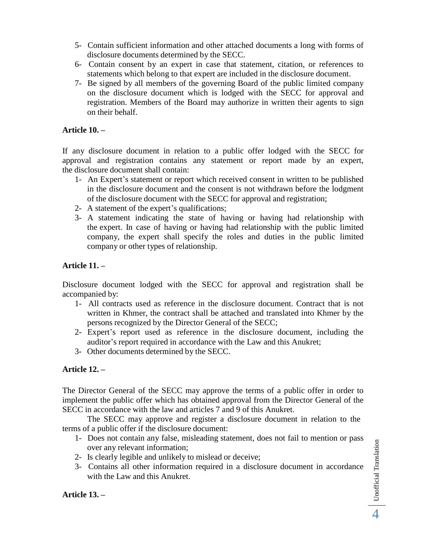- 5- Contain sufficient information and other attached documents a long with forms of disclosure documents determined by the SECC.
- 6- Contain consent by an expert in case that statement, citation, or references to statements which belong to that expert are included in the disclosure document.
- 7- Be signed by all members of the governing Board of the public limited company on the disclosure document which is lodged with the SECC for approval and registration. Members of the Board may authorize in written their agents to sign on their behalf.

## **Article 10. –**

If any disclosure document in relation to a public offer lodged with the SECC for approval and registration contains any statement or report made by an expert, the disclosure document shall contain:

- 1- An Expert's statement or report which received consent in written to be published in the disclosure document and the consent is not withdrawn before the lodgment of the disclosure document with the SECC for approval and registration;
- 2- A statement of the expert's qualifications;
- 3- A statement indicating the state of having or having had relationship with the expert. In case of having or having had relationship with the public limited company, the expert shall specify the roles and duties in the public limited company or other types of relationship.

# **Article 11. –**

Disclosure document lodged with the SECC for approval and registration shall be accompanied by:

- 1- All contracts used as reference in the disclosure document. Contract that is not written in Khmer, the contract shall be attached and translated into Khmer by the persons recognized by the Director General of the SECC;
- 2- Expert's report used as reference in the disclosure document, including the auditor's report required in accordance with the Law and this Anukret;
- 3- Other documents determined by the SECC.

## **Article 12. –**

The Director General of the SECC may approve the terms of a public offer in order to implement the public offer which has obtained approval from the Director General of the SECC in accordance with the law and articles 7 and 9 of this Anukret.

The SECC may approve and register a disclosure document in relation to the terms of a public offer if the disclosure document:

- 1- Does not contain any false, misleading statement, does not fail to mention or pass over any relevant information;
- 2- Is clearly legible and unlikely to mislead or deceive;
- 3- Contains all other information required in a disclosure document in accordance with the Law and this Anukret.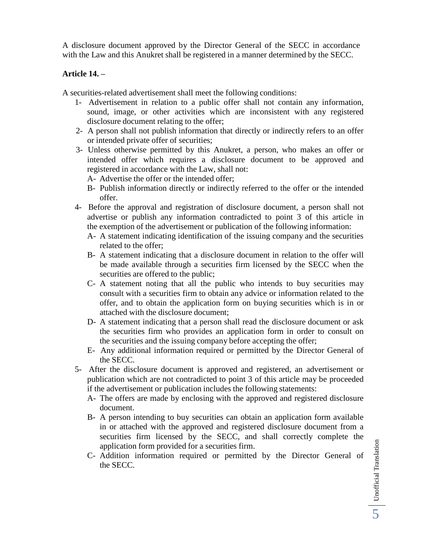A disclosure document approved by the Director General of the SECC in accordance with the Law and this Anukret shall be registered in a manner determined by the SECC.

## **Article 14. –**

A securities-related advertisement shall meet the following conditions:

- 1- Advertisement in relation to a public offer shall not contain any information, sound, image, or other activities which are inconsistent with any registered disclosure document relating to the offer;
- 2- A person shall not publish information that directly or indirectly refers to an offer or intended private offer of securities;
- 3- Unless otherwise permitted by this Anukret, a person, who makes an offer or intended offer which requires a disclosure document to be approved and registered in accordance with the Law, shall not:

A- Advertise the offer or the intended offer;

- B- Publish information directly or indirectly referred to the offer or the intended offer.
- 4- Before the approval and registration of disclosure document, a person shall not advertise or publish any information contradicted to point 3 of this article in the exemption of the advertisement or publication of the following information:
	- A- A statement indicating identification of the issuing company and the securities related to the offer;
	- B- A statement indicating that a disclosure document in relation to the offer will be made available through a securities firm licensed by the SECC when the securities are offered to the public;
	- C- A statement noting that all the public who intends to buy securities may consult with a securities firm to obtain any advice or information related to the offer, and to obtain the application form on buying securities which is in or attached with the disclosure document;
	- D- A statement indicating that a person shall read the disclosure document or ask the securities firm who provides an application form in order to consult on the securities and the issuing company before accepting the offer;
	- E- Any additional information required or permitted by the Director General of the SECC.
- 5- After the disclosure document is approved and registered, an advertisement or publication which are not contradicted to point 3 of this article may be proceeded if the advertisement or publication includes the following statements:
	- A- The offers are made by enclosing with the approved and registered disclosure document.
	- B- A person intending to buy securities can obtain an application form available in or attached with the approved and registered disclosure document from a securities firm licensed by the SECC, and shall correctly complete the application form provided for a securities firm.
	- C- Addition information required or permitted by the Director General of the SECC.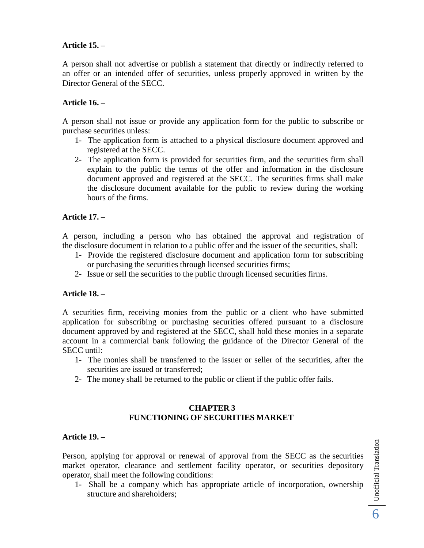# **Article 15. –**

A person shall not advertise or publish a statement that directly or indirectly referred to an offer or an intended offer of securities, unless properly approved in written by the Director General of the SECC.

# **Article 16. –**

A person shall not issue or provide any application form for the public to subscribe or purchase securities unless:

- 1- The application form is attached to a physical disclosure document approved and registered at the SECC.
- 2- The application form is provided for securities firm, and the securities firm shall explain to the public the terms of the offer and information in the disclosure document approved and registered at the SECC. The securities firms shall make the disclosure document available for the public to review during the working hours of the firms.

# **Article 17. –**

A person, including a person who has obtained the approval and registration of the disclosure document in relation to a public offer and the issuer of the securities, shall:

- 1- Provide the registered disclosure document and application form for subscribing or purchasing the securities through licensed securities firms;
- 2- Issue or sell the securities to the public through licensed securities firms.

## **Article 18. –**

A securities firm, receiving monies from the public or a client who have submitted application for subscribing or purchasing securities offered pursuant to a disclosure document approved by and registered at the SECC, shall hold these monies in a separate account in a commercial bank following the guidance of the Director General of the SECC until:

- 1- The monies shall be transferred to the issuer or seller of the securities, after the securities are issued or transferred;
- 2- The money shall be returned to the public or client if the public offer fails.

### **CHAPTER 3 FUNCTIONING OF SECURITIES MARKET**

#### **Article 19. –**

Person, applying for approval or renewal of approval from the SECC as the securities market operator, clearance and settlement facility operator, or securities depository operator, shall meet the following conditions:

1- Shall be a company which has appropriate article of incorporation, ownership structure and shareholders;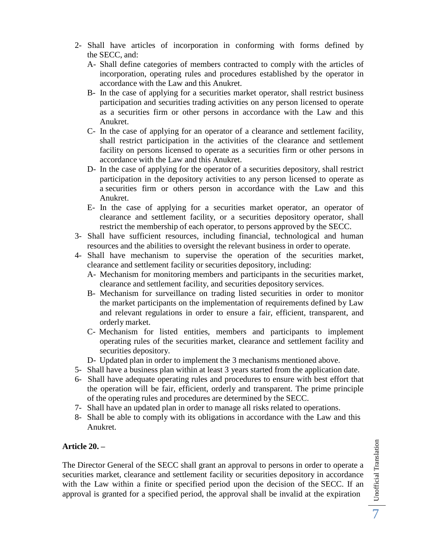- 2- Shall have articles of incorporation in conforming with forms defined by the SECC, and:
	- A- Shall define categories of members contracted to comply with the articles of incorporation, operating rules and procedures established by the operator in accordance with the Law and this Anukret.
	- B- In the case of applying for a securities market operator, shall restrict business participation and securities trading activities on any person licensed to operate as a securities firm or other persons in accordance with the Law and this Anukret.
	- C- In the case of applying for an operator of a clearance and settlement facility, shall restrict participation in the activities of the clearance and settlement facility on persons licensed to operate as a securities firm or other persons in accordance with the Law and this Anukret.
	- D- In the case of applying for the operator of a securities depository, shall restrict participation in the depository activities to any person licensed to operate as a securities firm or others person in accordance with the Law and this Anukret.
	- E- In the case of applying for a securities market operator, an operator of clearance and settlement facility, or a securities depository operator, shall restrict the membership of each operator, to persons approved by the SECC.
- 3- Shall have sufficient resources, including financial, technological and human resources and the abilities to oversight the relevant business in order to operate.
- 4- Shall have mechanism to supervise the operation of the securities market, clearance and settlement facility or securities depository, including:
	- A- Mechanism for monitoring members and participants in the securities market, clearance and settlement facility, and securities depository services.
	- B- Mechanism for surveillance on trading listed securities in order to monitor the market participants on the implementation of requirements defined by Law and relevant regulations in order to ensure a fair, efficient, transparent, and orderly market.
	- C- Mechanism for listed entities, members and participants to implement operating rules of the securities market, clearance and settlement facility and securities depository.
	- D- Updated plan in order to implement the 3 mechanisms mentioned above.
- 5- Shall have a business plan within at least 3 years started from the application date.
- 6- Shall have adequate operating rules and procedures to ensure with best effort that the operation will be fair, efficient, orderly and transparent. The prime principle of the operating rules and procedures are determined by the SECC.
- 7- Shall have an updated plan in order to manage all risks related to operations.
- 8- Shall be able to comply with its obligations in accordance with the Law and this Anukret.

# **Article 20. –**

The Director General of the SECC shall grant an approval to persons in order to operate a securities market, clearance and settlement facility or securities depository in accordance with the Law within a finite or specified period upon the decision of the SECC. If an approval is granted for a specified period, the approval shall be invalid at the expiration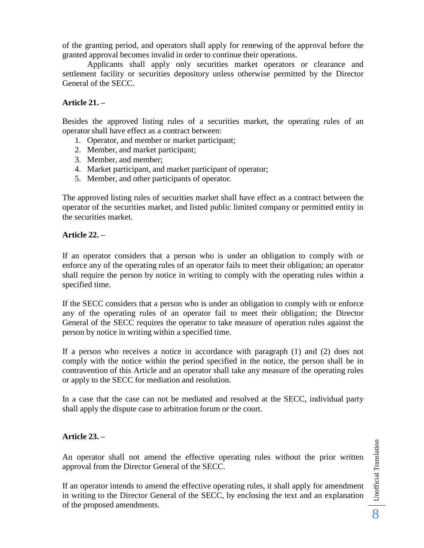of the granting period, and operators shall apply for renewing of the approval before the granted approval becomes invalid in order to continue their operations.

Applicants shall apply only securities market operators or clearance and settlement facility or securities depository unless otherwise permitted by the Director General of the SECC.

## **Article 21. –**

Besides the approved listing rules of a securities market, the operating rules of an operator shall have effect as a contract between:

- 1. Operator, and member or market participant;
- 2. Member, and market participant;
- 3. Member, and member;
- 4. Market participant, and market participant of operator;
- 5. Member, and other participants of operator.

The approved listing rules of securities market shall have effect as a contract between the operator of the securities market, and listed public limited company or permitted entity in the securities market.

### **Article 22. –**

If an operator considers that a person who is under an obligation to comply with or enforce any of the operating rules of an operator fails to meet their obligation; an operator shall require the person by notice in writing to comply with the operating rules within a specified time.

If the SECC considers that a person who is under an obligation to comply with or enforce any of the operating rules of an operator fail to meet their obligation; the Director General of the SECC requires the operator to take measure of operation rules against the person by notice in writing within a specified time.

If a person who receives a notice in accordance with paragraph (1) and (2) does not comply with the notice within the period specified in the notice, the person shall be in contravention of this Article and an operator shall take any measure of the operating rules or apply to the SECC for mediation and resolution.

In a case that the case can not be mediated and resolved at the SECC, individual party shall apply the dispute case to arbitration forum or the court.

## **Article 23. –**

An operator shall not amend the effective operating rules without the prior written approval from the Director General of the SECC.

If an operator intends to amend the effective operating rules, it shall apply for amendment in writing to the Director General of the SECC, by enclosing the text and an explanation of the proposed amendments.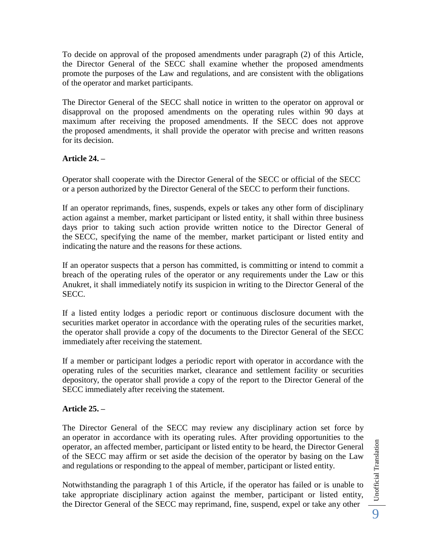To decide on approval of the proposed amendments under paragraph (2) of this Article, the Director General of the SECC shall examine whether the proposed amendments promote the purposes of the Law and regulations, and are consistent with the obligations of the operator and market participants.

The Director General of the SECC shall notice in written to the operator on approval or disapproval on the proposed amendments on the operating rules within 90 days at maximum after receiving the proposed amendments. If the SECC does not approve the proposed amendments, it shall provide the operator with precise and written reasons for its decision.

# **Article 24. –**

Operator shall cooperate with the Director General of the SECC or official of the SECC or a person authorized by the Director General of the SECC to perform their functions.

If an operator reprimands, fines, suspends, expels or takes any other form of disciplinary action against a member, market participant or listed entity, it shall within three business days prior to taking such action provide written notice to the Director General of the SECC, specifying the name of the member, market participant or listed entity and indicating the nature and the reasons for these actions.

If an operator suspects that a person has committed, is committing or intend to commit a breach of the operating rules of the operator or any requirements under the Law or this Anukret, it shall immediately notify its suspicion in writing to the Director General of the SECC.

If a listed entity lodges a periodic report or continuous disclosure document with the securities market operator in accordance with the operating rules of the securities market, the operator shall provide a copy of the documents to the Director General of the SECC immediately after receiving the statement.

If a member or participant lodges a periodic report with operator in accordance with the operating rules of the securities market, clearance and settlement facility or securities depository, the operator shall provide a copy of the report to the Director General of the SECC immediately after receiving the statement.

## **Article 25. –**

The Director General of the SECC may review any disciplinary action set force by an operator in accordance with its operating rules. After providing opportunities to the operator, an affected member, participant or listed entity to be heard, the Director General of the SECC may affirm or set aside the decision of the operator by basing on the Law and regulations or responding to the appeal of member, participant or listed entity.

Notwithstanding the paragraph 1 of this Article, if the operator has failed or is unable to take appropriate disciplinary action against the member, participant or listed entity, the Director General of the SECC may reprimand, fine, suspend, expel or take any other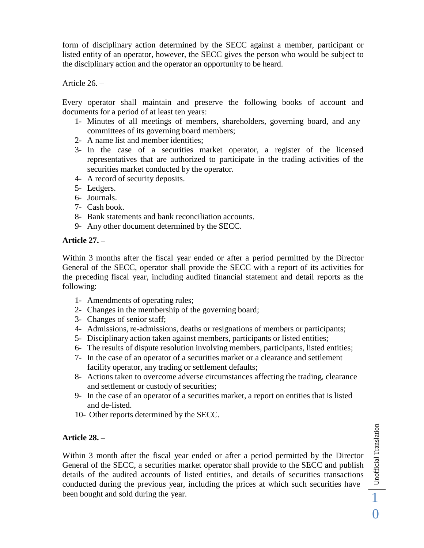form of disciplinary action determined by the SECC against a member, participant or listed entity of an operator, however, the SECC gives the person who would be subject to the disciplinary action and the operator an opportunity to be heard.

Article 26. –

Every operator shall maintain and preserve the following books of account and documents for a period of at least ten years:

- 1- Minutes of all meetings of members, shareholders, governing board, and any committees of its governing board members;
- 2- A name list and member identities;
- 3- In the case of a securities market operator, a register of the licensed representatives that are authorized to participate in the trading activities of the securities market conducted by the operator.
- 4- A record of security deposits.
- 5- Ledgers.
- 6- Journals.
- 7- Cash book.
- 8- Bank statements and bank reconciliation accounts.
- 9- Any other document determined by the SECC.

### **Article 27. –**

Within 3 months after the fiscal year ended or after a period permitted by the Director General of the SECC, operator shall provide the SECC with a report of its activities for the preceding fiscal year, including audited financial statement and detail reports as the following:

- 1- Amendments of operating rules;
- 2- Changes in the membership of the governing board;
- 3- Changes of senior staff;
- 4- Admissions, re-admissions, deaths or resignations of members or participants;
- 5- Disciplinary action taken against members, participants or listed entities;
- 6- The results of dispute resolution involving members, participants, listed entities;
- 7- In the case of an operator of a securities market or a clearance and settlement facility operator, any trading or settlement defaults;
- 8- Actions taken to overcome adverse circumstances affecting the trading, clearance and settlement or custody of securities;
- 9- In the case of an operator of a securities market, a report on entities that is listed and de-listed.
- 10- Other reports determined by the SECC.

## **Article 28. –**

Within 3 month after the fiscal year ended or after a period permitted by the Director General of the SECC, a securities market operator shall provide to the SECC and publish details of the audited accounts of listed entities, and details of securities transactions conducted during the previous year, including the prices at which such securities have Article 28. –<br>Within 3 month after the fiscal year ended or after a period permitted by the Director<br>General of the SECC, a securities market operator shall provide to the SECC and publish<br>details of the audited accounts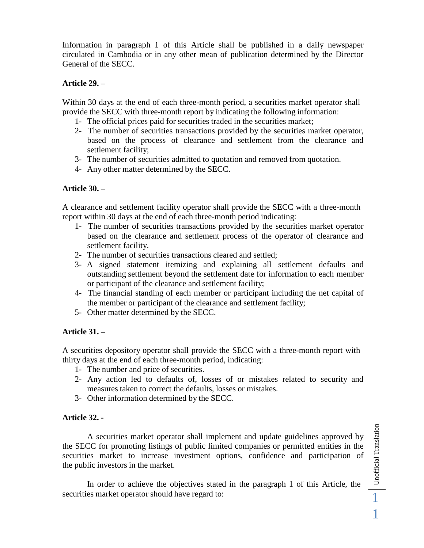Information in paragraph 1 of this Article shall be published in a daily newspaper circulated in Cambodia or in any other mean of publication determined by the Director General of the SECC.

### **Article 29. –**

Within 30 days at the end of each three-month period, a securities market operator shall provide the SECC with three-month report by indicating the following information:

- 1- The official prices paid for securities traded in the securities market;
- 2- The number of securities transactions provided by the securities market operator, based on the process of clearance and settlement from the clearance and settlement facility;
- 3- The number of securities admitted to quotation and removed from quotation.
- 4- Any other matter determined by the SECC.

### **Article 30. –**

A clearance and settlement facility operator shall provide the SECC with a three-month report within 30 days at the end of each three-month period indicating:

- 1- The number of securities transactions provided by the securities market operator based on the clearance and settlement process of the operator of clearance and settlement facility.
- 2- The number of securities transactions cleared and settled;
- 3- A signed statement itemizing and explaining all settlement defaults and outstanding settlement beyond the settlement date for information to each member or participant of the clearance and settlement facility;
- 4- The financial standing of each member or participant including the net capital of the member or participant of the clearance and settlement facility;
- 5- Other matter determined by the SECC.

## **Article 31. –**

A securities depository operator shall provide the SECC with a three-month report with thirty days at the end of each three-month period, indicating:

- 1- The number and price of securities.
- 2- Any action led to defaults of, losses of or mistakes related to security and measures taken to correct the defaults, losses or mistakes.
- 3- Other information determined by the SECC.

#### **Article 32. -**

A securities market operator shall implement and update guidelines approved by the SECC for promoting listings of public limited companies or permitted entities in the securities market to increase investment options, confidence and participation of the public investors in the market. A securities market operator shall implement and update guidelines approved by<br>the SECC for promoting listings of public limited companies or permitted entities in the<br>securities market to increase investment options, con

In order to achieve the objectives stated in the paragraph 1 of this Article, the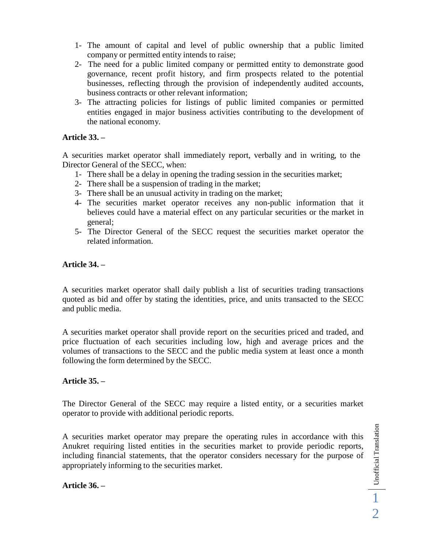- 1- The amount of capital and level of public ownership that a public limited company or permitted entity intends to raise;
- 2- The need for a public limited company or permitted entity to demonstrate good governance, recent profit history, and firm prospects related to the potential businesses, reflecting through the provision of independently audited accounts, business contracts or other relevant information;
- 3- The attracting policies for listings of public limited companies or permitted entities engaged in major business activities contributing to the development of the national economy.

# **Article 33. –**

A securities market operator shall immediately report, verbally and in writing, to the Director General of the SECC, when:

- 1- There shall be a delay in opening the trading session in the securities market;
- 2- There shall be a suspension of trading in the market;
- 3- There shall be an unusual activity in trading on the market;
- 4- The securities market operator receives any non-public information that it believes could have a material effect on any particular securities or the market in general;
- 5- The Director General of the SECC request the securities market operator the related information.

# **Article 34. –**

A securities market operator shall daily publish a list of securities trading transactions quoted as bid and offer by stating the identities, price, and units transacted to the SECC and public media.

A securities market operator shall provide report on the securities priced and traded, and price fluctuation of each securities including low, high and average prices and the volumes of transactions to the SECC and the public media system at least once a month following the form determined by the SECC.

## **Article 35. –**

The Director General of the SECC may require a listed entity, or a securities market operator to provide with additional periodic reports.

A securities market operator may prepare the operating rules in accordance with this Anukret requiring listed entities in the securities market to provide periodic reports, including financial statements, that the operator considers necessary for the purpose of appropriately informing to the securities market.

## **Article 36. –**

 $\Box$  Unofficial Translation 2 Unofficial Translation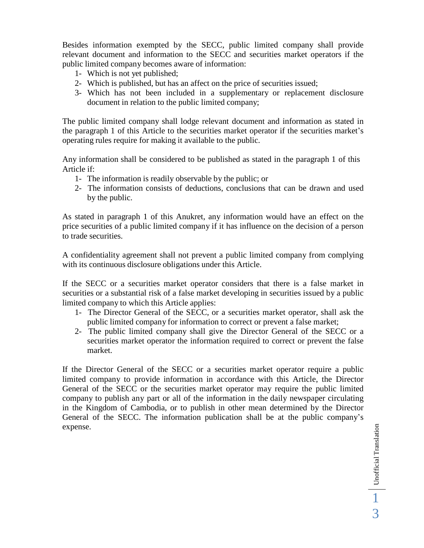Besides information exempted by the SECC, public limited company shall provide relevant document and information to the SECC and securities market operators if the public limited company becomes aware of information:

- 1- Which is not yet published;
- 2- Which is published, but has an affect on the price of securities issued;
- 3- Which has not been included in a supplementary or replacement disclosure document in relation to the public limited company;

The public limited company shall lodge relevant document and information as stated in the paragraph 1 of this Article to the securities market operator if the securities market's operating rules require for making it available to the public.

Any information shall be considered to be published as stated in the paragraph 1 of this Article if:

- 1- The information is readily observable by the public; or
- 2- The information consists of deductions, conclusions that can be drawn and used by the public.

As stated in paragraph 1 of this Anukret, any information would have an effect on the price securities of a public limited company if it has influence on the decision of a person to trade securities.

A confidentiality agreement shall not prevent a public limited company from complying with its continuous disclosure obligations under this Article.

If the SECC or a securities market operator considers that there is a false market in securities or a substantial risk of a false market developing in securities issued by a public limited company to which this Article applies:

- 1- The Director General of the SECC, or a securities market operator, shall ask the public limited company for information to correct or prevent a false market;
- 2- The public limited company shall give the Director General of the SECC or a securities market operator the information required to correct or prevent the false market.

If the Director General of the SECC or a securities market operator require a public limited company to provide information in accordance with this Article, the Director General of the SECC or the securities market operator may require the public limited company to publish any part or all of the information in the daily newspaper circulating in the Kingdom of Cambodia, or to publish in other mean determined by the Director General of the SECC. The information publication shall be at the public company's expense.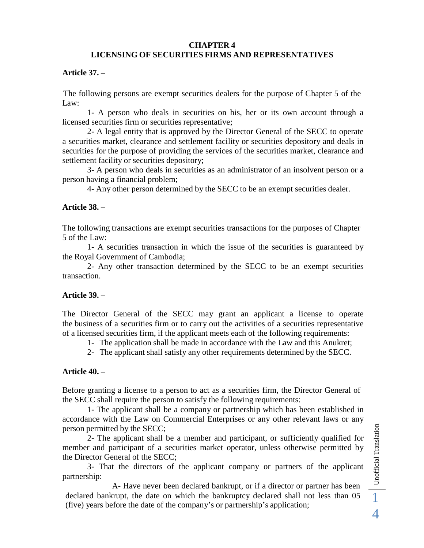#### **CHAPTER 4 LICENSING OF SECURITIES FIRMS AND REPRESENTATIVES**

### **Article 37. –**

The following persons are exempt securities dealers for the purpose of Chapter 5 of the Law:

1- A person who deals in securities on his, her or its own account through a licensed securities firm or securities representative;

2- A legal entity that is approved by the Director General of the SECC to operate a securities market, clearance and settlement facility or securities depository and deals in securities for the purpose of providing the services of the securities market, clearance and settlement facility or securities depository;

3- A person who deals in securities as an administrator of an insolvent person or a person having a financial problem;

4- Any other person determined by the SECC to be an exempt securities dealer.

## **Article 38. –**

The following transactions are exempt securities transactions for the purposes of Chapter 5 of the Law:

1- A securities transaction in which the issue of the securities is guaranteed by the Royal Government of Cambodia;

2- Any other transaction determined by the SECC to be an exempt securities transaction.

#### **Article 39. –**

The Director General of the SECC may grant an applicant a license to operate the business of a securities firm or to carry out the activities of a securities representative of a licensed securities firm, if the applicant meets each of the following requirements:

1- The application shall be made in accordance with the Law and this Anukret;

2- The applicant shall satisfy any other requirements determined by the SECC.

#### **Article 40. –**

Before granting a license to a person to act as a securities firm, the Director General of the SECC shall require the person to satisfy the following requirements:

1- The applicant shall be a company or partnership which has been established in accordance with the Law on Commercial Enterprises or any other relevant laws or any person permitted by the SECC;

2- The applicant shall be a member and participant, or sufficiently qualified for member and participant of a securities market operator, unless otherwise permitted by the Director General of the SECC; declared bankrupt, the date on which the bankruptcy declared shall not less than 05 1 declared bankrupt, the date on which the bankruptcy declared shall not less than 05 1 declared bankrupt, the date on which the bankruptc

3- That the directors of the applicant company or partners of the applicant partnership:

A- Have never been declared bankrupt, or if a director or partner has been (five) years before the date of the company's or partnership's application;

4 Unofficial Translation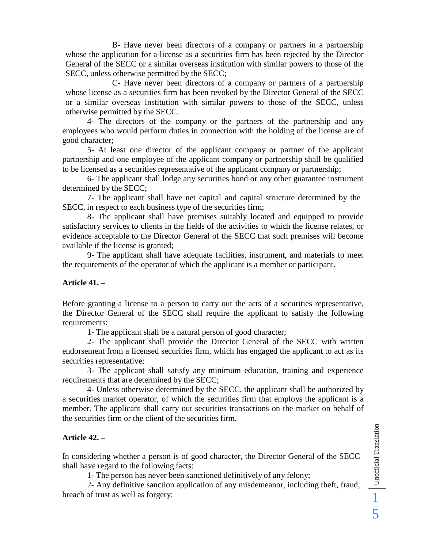B- Have never been directors of a company or partners in a partnership whose the application for a license as a securities firm has been rejected by the Director General of the SECC or a similar overseas institution with similar powers to those of the SECC, unless otherwise permitted by the SECC;

C- Have never been directors of a company or partners of a partnership whose license as a securities firm has been revoked by the Director General of the SECC or a similar overseas institution with similar powers to those of the SECC, unless otherwise permitted by the SECC.

4- The directors of the company or the partners of the partnership and any employees who would perform duties in connection with the holding of the license are of good character;

5- At least one director of the applicant company or partner of the applicant partnership and one employee of the applicant company or partnership shall be qualified to be licensed as a securities representative of the applicant company or partnership;

6- The applicant shall lodge any securities bond or any other guarantee instrument determined by the SECC;

7- The applicant shall have net capital and capital structure determined by the SECC, in respect to each business type of the securities firm;

8- The applicant shall have premises suitably located and equipped to provide satisfactory services to clients in the fields of the activities to which the license relates, or evidence acceptable to the Director General of the SECC that such premises will become available if the license is granted;

9- The applicant shall have adequate facilities, instrument, and materials to meet the requirements of the operator of which the applicant is a member or participant.

#### **Article 41. –**

Before granting a license to a person to carry out the acts of a securities representative, the Director General of the SECC shall require the applicant to satisfy the following requirements:

1- The applicant shall be a natural person of good character;

2- The applicant shall provide the Director General of the SECC with written endorsement from a licensed securities firm, which has engaged the applicant to act as its securities representative;

3- The applicant shall satisfy any minimum education, training and experience requirements that are determined by the SECC;

4- Unless otherwise determined by the SECC, the applicant shall be authorized by a securities market operator, of which the securities firm that employs the applicant is a member. The applicant shall carry out securities transactions on the market on behalf of the securities firm or the client of the securities firm.

#### **Article 42. –**

In considering whether a person is of good character, the Director General of the SECC shall have regard to the following facts:

1- The person has never been sanctioned definitively of any felony;

2- Any definitive sanction application of any misdemeanor, including theft, fraud, Article 42. –<br>
In considering whether a person is of good character, the Director General of the SECC<br>
shall have regard to the following facts:<br>
1- The person has never been sanctioned definitively of any felony;<br>
2- Any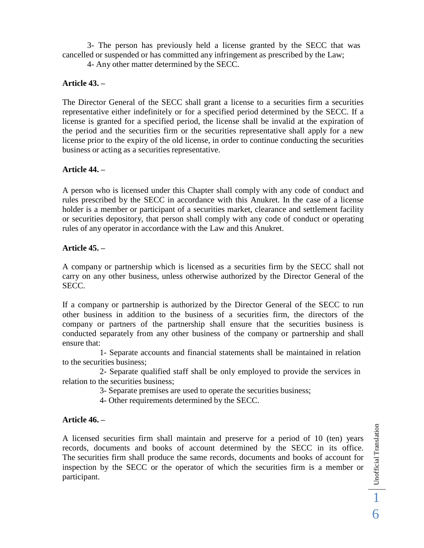3- The person has previously held a license granted by the SECC that was cancelled or suspended or has committed any infringement as prescribed by the Law;

4- Any other matter determined by the SECC.

### **Article 43. –**

The Director General of the SECC shall grant a license to a securities firm a securities representative either indefinitely or for a specified period determined by the SECC. If a license is granted for a specified period, the license shall be invalid at the expiration of the period and the securities firm or the securities representative shall apply for a new license prior to the expiry of the old license, in order to continue conducting the securities business or acting as a securities representative.

### **Article 44. –**

A person who is licensed under this Chapter shall comply with any code of conduct and rules prescribed by the SECC in accordance with this Anukret. In the case of a license holder is a member or participant of a securities market, clearance and settlement facility or securities depository, that person shall comply with any code of conduct or operating rules of any operator in accordance with the Law and this Anukret.

### **Article 45. –**

A company or partnership which is licensed as a securities firm by the SECC shall not carry on any other business, unless otherwise authorized by the Director General of the SECC.

If a company or partnership is authorized by the Director General of the SECC to run other business in addition to the business of a securities firm, the directors of the company or partners of the partnership shall ensure that the securities business is conducted separately from any other business of the company or partnership and shall ensure that:

1- Separate accounts and financial statements shall be maintained in relation to the securities business;

2- Separate qualified staff shall be only employed to provide the services in relation to the securities business;

3- Separate premises are used to operate the securities business;

4- Other requirements determined by the SECC.

## **Article 46. –**

A licensed securities firm shall maintain and preserve for a period of 10 (ten) years records, documents and books of account determined by the SECC in its office. The securities firm shall produce the same records, documents and books of account for inspection by the SECC or the operator of which the securities firm is a member or participant.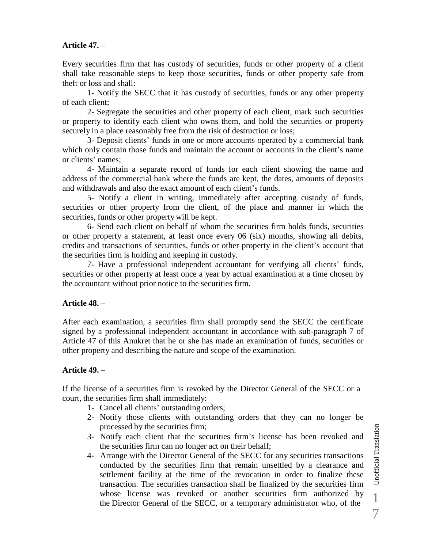# **Article 47. –**

Every securities firm that has custody of securities, funds or other property of a client shall take reasonable steps to keep those securities, funds or other property safe from theft or loss and shall:

1- Notify the SECC that it has custody of securities, funds or any other property of each client;

2- Segregate the securities and other property of each client, mark such securities or property to identify each client who owns them, and hold the securities or property securely in a place reasonably free from the risk of destruction or loss;

3- Deposit clients' funds in one or more accounts operated by a commercial bank which only contain those funds and maintain the account or accounts in the client's name or clients' names;

4- Maintain a separate record of funds for each client showing the name and address of the commercial bank where the funds are kept, the dates, amounts of deposits and withdrawals and also the exact amount of each client's funds.

5- Notify a client in writing, immediately after accepting custody of funds, securities or other property from the client, of the place and manner in which the securities, funds or other property will be kept.

6- Send each client on behalf of whom the securities firm holds funds, securities or other property a statement, at least once every 06 (six) months, showing all debits, credits and transactions of securities, funds or other property in the client's account that the securities firm is holding and keeping in custody.

7- Have a professional independent accountant for verifying all clients' funds, securities or other property at least once a year by actual examination at a time chosen by the accountant without prior notice to the securities firm.

## **Article 48. –**

After each examination, a securities firm shall promptly send the SECC the certificate signed by a professional independent accountant in accordance with sub-paragraph 7 of Article 47 of this Anukret that he or she has made an examination of funds, securities or other property and describing the nature and scope of the examination.

## **Article 49. –**

If the license of a securities firm is revoked by the Director General of the SECC or a court, the securities firm shall immediately:

- 1- Cancel all clients' outstanding orders;
- 2- Notify those clients with outstanding orders that they can no longer be processed by the securities firm;
- 3- Notify each client that the securities firm's license has been revoked and the securities firm can no longer act on their behalf;
- 4- Arrange with the Director General of the SECC for any securities transactions conducted by the securities firm that remain unsettled by a clearance and settlement facility at the time of the revocation in order to finalize these transaction. The securities transaction shall be finalized by the securities firm whose license was revoked or another securities firm authorized by the Director General of the SECC, or a temporary administrator who, of the

Unofficial Translation Unofficial Translation 1 7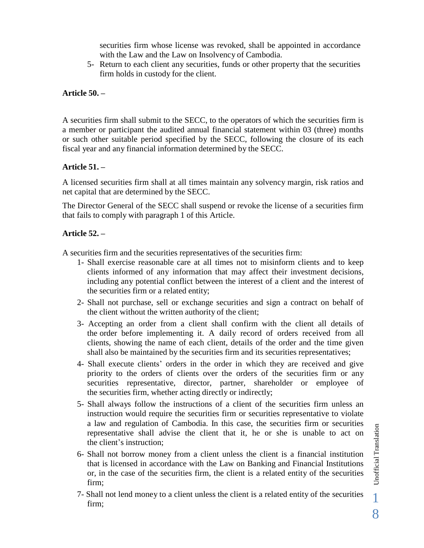securities firm whose license was revoked, shall be appointed in accordance with the Law and the Law on Insolvency of Cambodia.

5- Return to each client any securities, funds or other property that the securities firm holds in custody for the client.

#### **Article 50. –**

A securities firm shall submit to the SECC, to the operators of which the securities firm is a member or participant the audited annual financial statement within 03 (three) months or such other suitable period specified by the SECC, following the closure of its each fiscal year and any financial information determined by the SECC.

### **Article 51. –**

A licensed securities firm shall at all times maintain any solvency margin, risk ratios and net capital that are determined by the SECC.

The Director General of the SECC shall suspend or revoke the license of a securities firm that fails to comply with paragraph 1 of this Article.

### **Article 52. –**

A securities firm and the securities representatives of the securities firm:

- 1- Shall exercise reasonable care at all times not to misinform clients and to keep clients informed of any information that may affect their investment decisions, including any potential conflict between the interest of a client and the interest of the securities firm or a related entity;
- 2- Shall not purchase, sell or exchange securities and sign a contract on behalf of the client without the written authority of the client;
- 3- Accepting an order from a client shall confirm with the client all details of the order before implementing it. A daily record of orders received from all clients, showing the name of each client, details of the order and the time given shall also be maintained by the securities firm and its securities representatives;
- 4- Shall execute clients' orders in the order in which they are received and give priority to the orders of clients over the orders of the securities firm or any securities representative, director, partner, shareholder or employee of the securities firm, whether acting directly or indirectly;
- 5- Shall always follow the instructions of a client of the securities firm unless an instruction would require the securities firm or securities representative to violate a law and regulation of Cambodia. In this case, the securities firm or securities representative shall advise the client that it, he or she is unable to act on the client's instruction;
- 6- Shall not borrow money from a client unless the client is a financial institution that is licensed in accordance with the Law on Banking and Financial Institutions or, in the case of the securities firm, the client is a related entity of the securities firm;
- 7- Shall not lend money to a client unless the client is a related entity of the securities firm;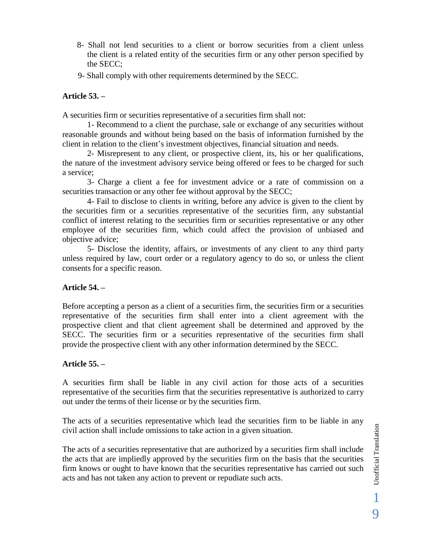- 8- Shall not lend securities to a client or borrow securities from a client unless the client is a related entity of the securities firm or any other person specified by the SECC;
- 9- Shall comply with other requirements determined by the SECC.

### **Article 53. –**

A securities firm or securities representative of a securities firm shall not:

1- Recommend to a client the purchase, sale or exchange of any securities without reasonable grounds and without being based on the basis of information furnished by the client in relation to the client's investment objectives, financial situation and needs.

2- Misrepresent to any client, or prospective client, its, his or her qualifications, the nature of the investment advisory service being offered or fees to be charged for such a service;

3- Charge a client a fee for investment advice or a rate of commission on a securities transaction or any other fee without approval by the SECC;

4- Fail to disclose to clients in writing, before any advice is given to the client by the securities firm or a securities representative of the securities firm, any substantial conflict of interest relating to the securities firm or securities representative or any other employee of the securities firm, which could affect the provision of unbiased and objective advice;

5- Disclose the identity, affairs, or investments of any client to any third party unless required by law, court order or a regulatory agency to do so, or unless the client consents for a specific reason.

#### **Article 54. –**

Before accepting a person as a client of a securities firm, the securities firm or a securities representative of the securities firm shall enter into a client agreement with the prospective client and that client agreement shall be determined and approved by the SECC. The securities firm or a securities representative of the securities firm shall provide the prospective client with any other information determined by the SECC.

## **Article 55. –**

A securities firm shall be liable in any civil action for those acts of a securities representative of the securities firm that the securities representative is authorized to carry out under the terms of their license or by the securities firm.

The acts of a securities representative which lead the securities firm to be liable in any civil action shall include omissions to take action in a given situation.

The acts of a securities representative that are authorized by a securities firm shall include the acts that are impliedly approved by the securities firm on the basis that the securities firm knows or ought to have known that the securities representative has carried out such acts and has not taken any action to prevent or repudiate such acts.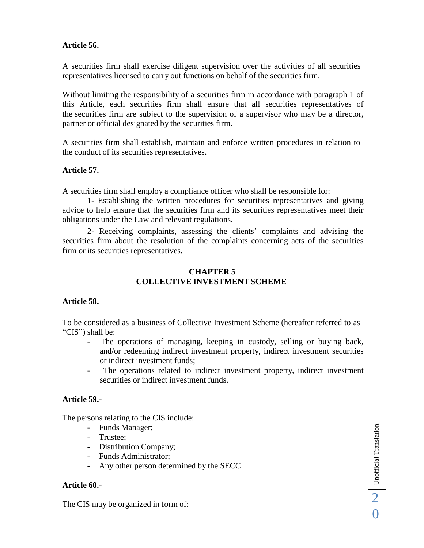### **Article 56. –**

A securities firm shall exercise diligent supervision over the activities of all securities representatives licensed to carry out functions on behalf of the securities firm.

Without limiting the responsibility of a securities firm in accordance with paragraph 1 of this Article, each securities firm shall ensure that all securities representatives of the securities firm are subject to the supervision of a supervisor who may be a director, partner or official designated by the securities firm.

A securities firm shall establish, maintain and enforce written procedures in relation to the conduct of its securities representatives.

#### **Article 57. –**

A securities firm shall employ a compliance officer who shall be responsible for:

1- Establishing the written procedures for securities representatives and giving advice to help ensure that the securities firm and its securities representatives meet their obligations under the Law and relevant regulations.

2- Receiving complaints, assessing the clients' complaints and advising the securities firm about the resolution of the complaints concerning acts of the securities firm or its securities representatives.

## **CHAPTER 5 COLLECTIVE INVESTMENT SCHEME**

#### **Article 58. –**

To be considered as a business of Collective Investment Scheme (hereafter referred to as "CIS") shall be:

- The operations of managing, keeping in custody, selling or buying back, and/or redeeming indirect investment property, indirect investment securities or indirect investment funds;
- The operations related to indirect investment property, indirect investment securities or indirect investment funds.

#### **Article 59.-**

The persons relating to the CIS include:

- Funds Manager;
- Trustee;
- Distribution Company;
- Funds Administrator;
- Any other person determined by the SECC.

#### **Article 60.-**

The CIS may be organized in form of: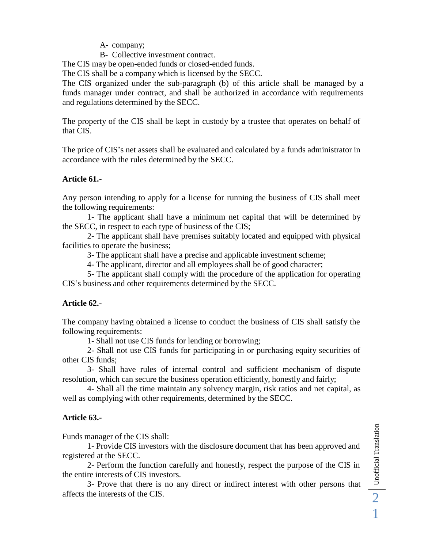A- company;

B- Collective investment contract.

The CIS may be open-ended funds or closed-ended funds.

The CIS shall be a company which is licensed by the SECC.

The CIS organized under the sub-paragraph (b) of this article shall be managed by a funds manager under contract, and shall be authorized in accordance with requirements and regulations determined by the SECC.

The property of the CIS shall be kept in custody by a trustee that operates on behalf of that CIS.

The price of CIS's net assets shall be evaluated and calculated by a funds administrator in accordance with the rules determined by the SECC.

## **Article 61.-**

Any person intending to apply for a license for running the business of CIS shall meet the following requirements:

1- The applicant shall have a minimum net capital that will be determined by the SECC, in respect to each type of business of the CIS;

2- The applicant shall have premises suitably located and equipped with physical facilities to operate the business;

3- The applicant shall have a precise and applicable investment scheme;

4- The applicant, director and all employees shall be of good character;

5- The applicant shall comply with the procedure of the application for operating CIS's business and other requirements determined by the SECC.

## **Article 62.-**

The company having obtained a license to conduct the business of CIS shall satisfy the following requirements:

1- Shall not use CIS funds for lending or borrowing;

2- Shall not use CIS funds for participating in or purchasing equity securities of other CIS funds;

3- Shall have rules of internal control and sufficient mechanism of dispute resolution, which can secure the business operation efficiently, honestly and fairly;

4- Shall all the time maintain any solvency margin, risk ratios and net capital, as well as complying with other requirements, determined by the SECC.

# **Article 63.-**

Funds manager of the CIS shall:

1- Provide CIS investors with the disclosure document that has been approved and registered at the SECC.

2- Perform the function carefully and honestly, respect the purpose of the CIS in the entire interests of CIS investors.

affects the interests of the CIS. 3- Prove that there is no any direct or indirect interest with other persons that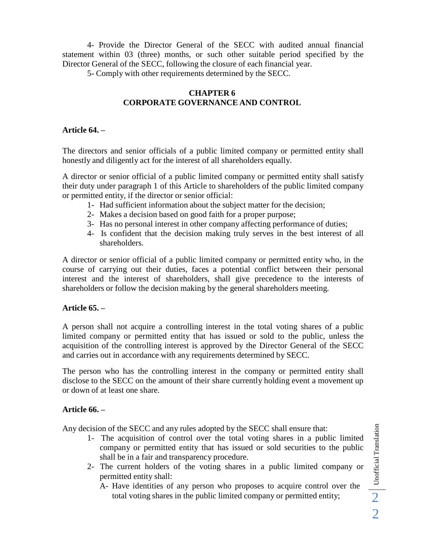4- Provide the Director General of the SECC with audited annual financial statement within 03 (three) months, or such other suitable period specified by the Director General of the SECC, following the closure of each financial year.

5- Comply with other requirements determined by the SECC.

## **CHAPTER 6 CORPORATE GOVERNANCE AND CONTROL**

### **Article 64. –**

The directors and senior officials of a public limited company or permitted entity shall honestly and diligently act for the interest of all shareholders equally.

A director or senior official of a public limited company or permitted entity shall satisfy their duty under paragraph 1 of this Article to shareholders of the public limited company or permitted entity, if the director or senior official:

- 1- Had sufficient information about the subject matter for the decision;
- 2- Makes a decision based on good faith for a proper purpose;
- 3- Has no personal interest in other company affecting performance of duties;
- 4- Is confident that the decision making truly serves in the best interest of all shareholders.

A director or senior official of a public limited company or permitted entity who, in the course of carrying out their duties, faces a potential conflict between their personal interest and the interest of shareholders, shall give precedence to the interests of shareholders or follow the decision making by the general shareholders meeting.

## **Article 65. –**

A person shall not acquire a controlling interest in the total voting shares of a public limited company or permitted entity that has issued or sold to the public, unless the acquisition of the controlling interest is approved by the Director General of the SECC and carries out in accordance with any requirements determined by SECC.

The person who has the controlling interest in the company or permitted entity shall disclose to the SECC on the amount of their share currently holding event a movement up or down of at least one share.

## **Article 66. –**

Any decision of the SECC and any rules adopted by the SECC shall ensure that:

- 1- The acquisition of control over the total voting shares in a public limited company or permitted entity that has issued or sold securities to the public shall be in a fair and transparency procedure.
- 2- The current holders of the voting shares in a public limited company or permitted entity shall:
	- A- Have identities of any person who proposes to acquire control over the total voting shares in the public limited company or permitted entity; 2

 $2$  Unofficial Translation Unofficial Translation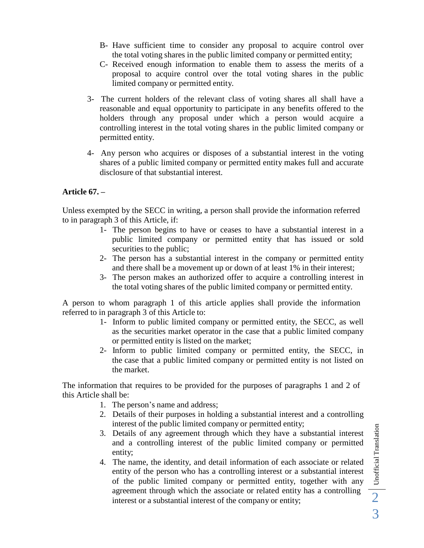- B- Have sufficient time to consider any proposal to acquire control over the total voting shares in the public limited company or permitted entity;
- C- Received enough information to enable them to assess the merits of a proposal to acquire control over the total voting shares in the public limited company or permitted entity.
- 3- The current holders of the relevant class of voting shares all shall have a reasonable and equal opportunity to participate in any benefits offered to the holders through any proposal under which a person would acquire a controlling interest in the total voting shares in the public limited company or permitted entity.
- 4- Any person who acquires or disposes of a substantial interest in the voting shares of a public limited company or permitted entity makes full and accurate disclosure of that substantial interest.

## **Article 67. –**

Unless exempted by the SECC in writing, a person shall provide the information referred to in paragraph 3 of this Article, if:

- 1- The person begins to have or ceases to have a substantial interest in a public limited company or permitted entity that has issued or sold securities to the public;
- 2- The person has a substantial interest in the company or permitted entity and there shall be a movement up or down of at least 1% in their interest;
- 3- The person makes an authorized offer to acquire a controlling interest in the total voting shares of the public limited company or permitted entity.

A person to whom paragraph 1 of this article applies shall provide the information referred to in paragraph 3 of this Article to:

- 1- Inform to public limited company or permitted entity, the SECC, as well as the securities market operator in the case that a public limited company or permitted entity is listed on the market;
- 2- Inform to public limited company or permitted entity, the SECC, in the case that a public limited company or permitted entity is not listed on the market.

The information that requires to be provided for the purposes of paragraphs 1 and 2 of this Article shall be:

- 1. The person's name and address;
- 2. Details of their purposes in holding a substantial interest and a controlling interest of the public limited company or permitted entity;
- 3. Details of any agreement through which they have a substantial interest and a controlling interest of the public limited company or permitted entity;
- 4. The name, the identity, and detail information of each associate or related entity of the person who has a controlling interest or a substantial interest of the public limited company or permitted entity, together with any agreement through which the associate or related entity has a controlling interest or <sup>a</sup> substantial interest of the company or entity; 2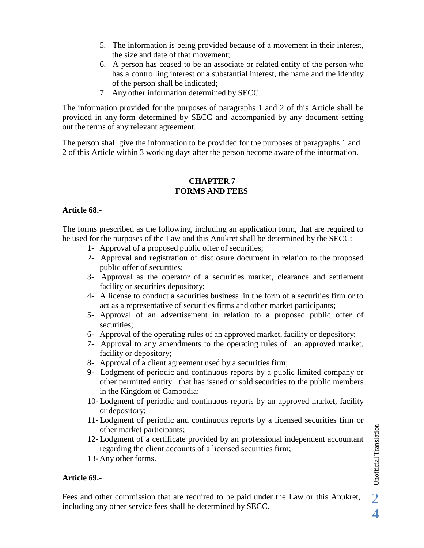- 5. The information is being provided because of a movement in their interest, the size and date of that movement;
- 6. A person has ceased to be an associate or related entity of the person who has a controlling interest or a substantial interest, the name and the identity of the person shall be indicated;
- 7. Any other information determined by SECC.

The information provided for the purposes of paragraphs 1 and 2 of this Article shall be provided in any form determined by SECC and accompanied by any document setting out the terms of any relevant agreement.

The person shall give the information to be provided for the purposes of paragraphs 1 and 2 of this Article within 3 working days after the person become aware of the information.

#### **CHAPTER 7 FORMS AND FEES**

### **Article 68.-**

The forms prescribed as the following, including an application form, that are required to be used for the purposes of the Law and this Anukret shall be determined by the SECC:

- 1- Approval of a proposed public offer of securities;
- 2- Approval and registration of disclosure document in relation to the proposed public offer of securities;
- 3- Approval as the operator of a securities market, clearance and settlement facility or securities depository;
- 4- A license to conduct a securities business in the form of a securities firm or to act as a representative of securities firms and other market participants;
- 5- Approval of an advertisement in relation to a proposed public offer of securities;
- 6- Approval of the operating rules of an approved market, facility or depository;
- 7- Approval to any amendments to the operating rules of an approved market, facility or depository;
- 8- Approval of a client agreement used by a securities firm;
- 9- Lodgment of periodic and continuous reports by a public limited company or other permitted entity that has issued or sold securities to the public members in the Kingdom of Cambodia;
- 10- Lodgment of periodic and continuous reports by an approved market, facility or depository;
- 11- Lodgment of periodic and continuous reports by a licensed securities firm or other market participants;
- 12- Lodgment of a certificate provided by an professional independent accountant regarding the client accounts of a licensed securities firm; other market participants;<br>12- Lodgment of a certificate provided by an professional independent accountant<br>regarding the client accounts of a licensed securities firm;<br>13- Any other forms.<br>**Article 69.-**<br>Fees and other co
	- 13- Any other forms.

## **Article 69.-**

including any other service fees shall be determined by SECC.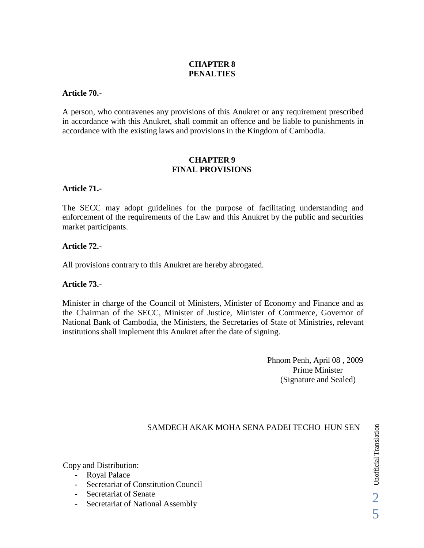# **CHAPTER 8 PENALTIES**

#### **Article 70.-**

A person, who contravenes any provisions of this Anukret or any requirement prescribed in accordance with this Anukret, shall commit an offence and be liable to punishments in accordance with the existing laws and provisions in the Kingdom of Cambodia.

#### **CHAPTER 9 FINAL PROVISIONS**

#### **Article 71.-**

The SECC may adopt guidelines for the purpose of facilitating understanding and enforcement of the requirements of the Law and this Anukret by the public and securities market participants.

#### **Article 72.-**

All provisions contrary to this Anukret are hereby abrogated.

#### **Article 73.-**

Minister in charge of the Council of Ministers, Minister of Economy and Finance and as the Chairman of the SECC, Minister of Justice, Minister of Commerce, Governor of National Bank of Cambodia, the Ministers, the Secretaries of State of Ministries, relevant institutions shall implement this Anukret after the date of signing.

> Phnom Penh, April 08 , 2009 Prime Minister (Signature and Sealed)

#### SAMDECH AKAK MOHA SENA PADEI TECHO HUN SEN

Copy and Distribution:

- Royal Palace
- Secretariat of Constitution Council
- Secretariat of Senate
- Secretariat of National Assembly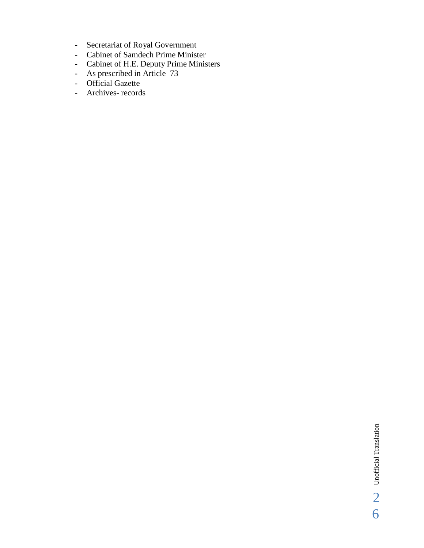- Secretariat of Royal Government<br>- Cabinet of Samdech Prime Minist
- Cabinet of Samdech Prime Minister
- Cabinet of H.E. Deputy Prime Ministers
- As prescribed in Article 73
- Official Gazette
- Archives- records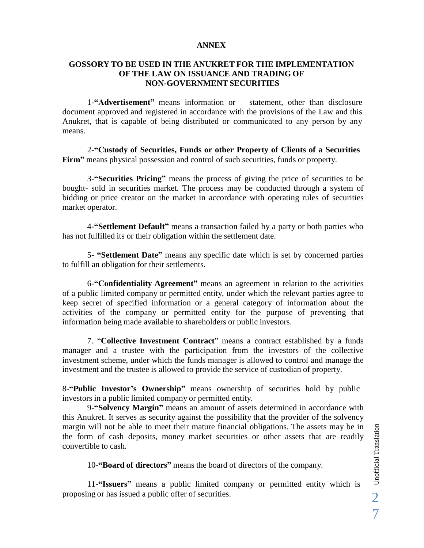#### **ANNEX**

### **GOSSORY TO BE USED IN THE ANUKRET FOR THE IMPLEMENTATION OF THE LAW ON ISSUANCE AND TRADING OF NON-GOVERNMENT SECURITIES**

1-**"Advertisement"** means information or statement, other than disclosure document approved and registered in accordance with the provisions of the Law and this Anukret, that is capable of being distributed or communicated to any person by any means.

2-**"Custody of Securities, Funds or other Property of Clients of a Securities Firm"** means physical possession and control of such securities, funds or property.

3-**"Securities Pricing"** means the process of giving the price of securities to be bought- sold in securities market. The process may be conducted through a system of bidding or price creator on the market in accordance with operating rules of securities market operator.

4-**"Settlement Default"** means a transaction failed by a party or both parties who has not fulfilled its or their obligation within the settlement date.

5- **"Settlement Date"** means any specific date which is set by concerned parties to fulfill an obligation for their settlements.

6-**"Confidentiality Agreement"** means an agreement in relation to the activities of a public limited company or permitted entity, under which the relevant parties agree to keep secret of specified information or a general category of information about the activities of the company or permitted entity for the purpose of preventing that information being made available to shareholders or public investors.

7. "**Collective Investment Contract**" means a contract established by a funds manager and a trustee with the participation from the investors of the collective investment scheme, under which the funds manager is allowed to control and manage the investment and the trustee is allowed to provide the service of custodian of property.

8-**"Public Investor's Ownership"** means ownership of securities hold by public investors in a public limited company or permitted entity.

9-**"Solvency Margin"** means an amount of assets determined in accordance with this Anukret. It serves as security against the possibility that the provider of the solvency margin will not be able to meet their mature financial obligations. The assets may be in the form of cash deposits, money market securities or other assets that are readily convertible to cash. margin will not be able to meet their mature financial obligations. The assets may be in<br>the form of cash deposits, money market securities or other assets that are readily<br>convertible to cash.<br>10-**"Board of directors"** me

10-**"Board of directors"** means the board of directors of the company.

11-**"Issuers"** means a public limited company or permitted entity which is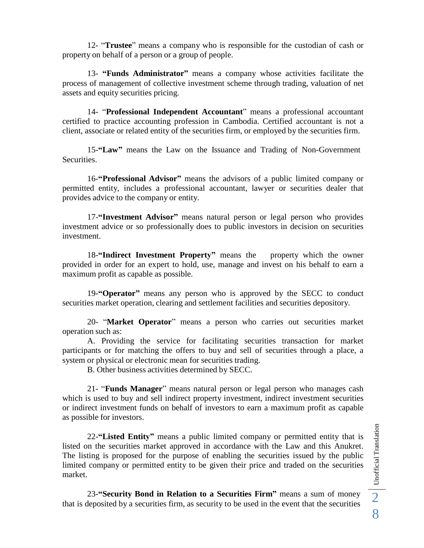12- "**Trustee**" means a company who is responsible for the custodian of cash or property on behalf of a person or a group of people.

13- **"Funds Administrator"** means a company whose activities facilitate the process of management of collective investment scheme through trading, valuation of net assets and equity securities pricing.

14- "**Professional Independent Accountant**" means a professional accountant certified to practice accounting profession in Cambodia. Certified accountant is not a client, associate or related entity of the securities firm, or employed by the securities firm.

15-**"Law"** means the Law on the Issuance and Trading of Non-Government Securities.

16-**"Professional Advisor"** means the advisors of a public limited company or permitted entity, includes a professional accountant, lawyer or securities dealer that provides advice to the company or entity.

17-**"Investment Advisor"** means natural person or legal person who provides investment advice or so professionally does to public investors in decision on securities investment.

18-**"Indirect Investment Property"** means the property which the owner provided in order for an expert to hold, use, manage and invest on his behalf to earn a maximum profit as capable as possible.

19-**"Operator"** means any person who is approved by the SECC to conduct securities market operation, clearing and settlement facilities and securities depository.

20- "**Market Operator**" means a person who carries out securities market operation such as:

A. Providing the service for facilitating securities transaction for market participants or for matching the offers to buy and sell of securities through a place, a system or physical or electronic mean for securities trading.

B. Other business activities determined by SECC.

21- "**Funds Manager**" means natural person or legal person who manages cash which is used to buy and sell indirect property investment, indirect investment securities or indirect investment funds on behalf of investors to earn a maximum profit as capable as possible for investors.

22-**"Listed Entity"** means a public limited company or permitted entity that is listed on the securities market approved in accordance with the Law and this Anukret. The listing is proposed for the purpose of enabling the securities issued by the public limited company or permitted entity to be given their price and traded on the securities market.

that is deposited by a securities firm, as security to be used in the event that the securities 23-**"Security Bond in Relation to a Securities Firm"** means a sum of money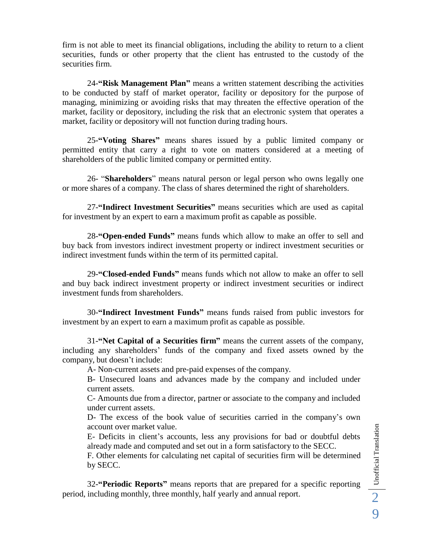firm is not able to meet its financial obligations, including the ability to return to a client securities, funds or other property that the client has entrusted to the custody of the securities firm.

24-**"Risk Management Plan"** means a written statement describing the activities to be conducted by staff of market operator, facility or depository for the purpose of managing, minimizing or avoiding risks that may threaten the effective operation of the market, facility or depository, including the risk that an electronic system that operates a market, facility or depository will not function during trading hours.

25-**"Voting Shares"** means shares issued by a public limited company or permitted entity that carry a right to vote on matters considered at a meeting of shareholders of the public limited company or permitted entity.

26- "**Shareholders**" means natural person or legal person who owns legally one or more shares of a company. The class of shares determined the right of shareholders.

27-**"Indirect Investment Securities"** means securities which are used as capital for investment by an expert to earn a maximum profit as capable as possible.

28-**"Open-ended Funds"** means funds which allow to make an offer to sell and buy back from investors indirect investment property or indirect investment securities or indirect investment funds within the term of its permitted capital.

29-**"Closed-ended Funds"** means funds which not allow to make an offer to sell and buy back indirect investment property or indirect investment securities or indirect investment funds from shareholders.

30-**"Indirect Investment Funds"** means funds raised from public investors for investment by an expert to earn a maximum profit as capable as possible.

31-**"Net Capital of a Securities firm"** means the current assets of the company, including any shareholders' funds of the company and fixed assets owned by the company, but doesn't include:

A- Non-current assets and pre-paid expenses of the company.

B- Unsecured loans and advances made by the company and included under current assets.

C- Amounts due from a director, partner or associate to the company and included under current assets.

D- The excess of the book value of securities carried in the company's own account over market value.

E- Deficits in client's accounts, less any provisions for bad or doubtful debts already made and computed and set out in a form satisfactory to the SECC.

F. Other elements for calculating net capital of securities firm will be determined by SECC.

32-**"Periodic Reports"** means reports that are prepared for a specific reporting period, including monthly, three monthly, half yearly and annual report.

9 Unofficial Translation 2